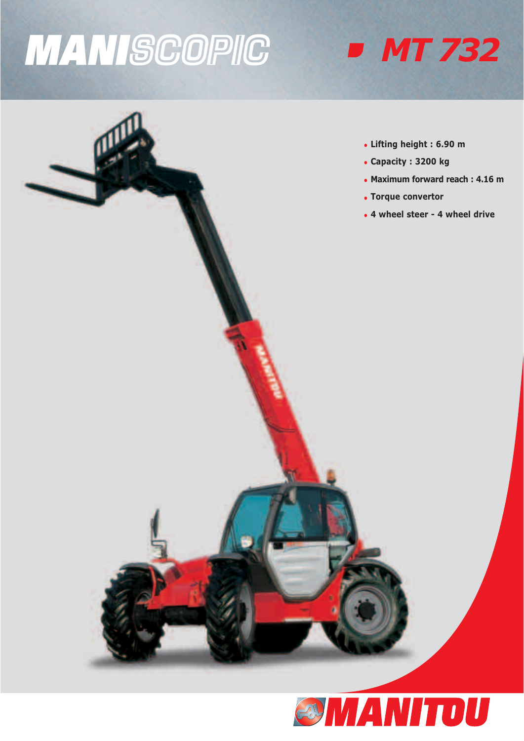# **MANISCOPIC**